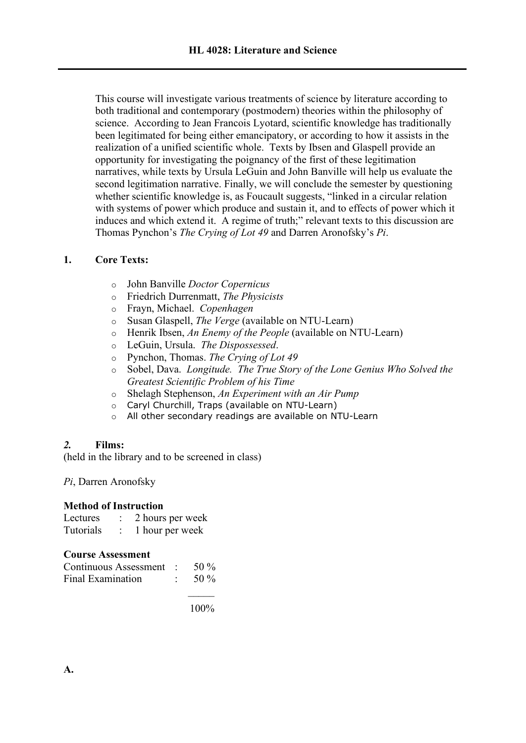This course will investigate various treatments of science by literature according to both traditional and contemporary (postmodern) theories within the philosophy of science. According to Jean Francois Lyotard, scientific knowledge has traditionally been legitimated for being either emancipatory, or according to how it assists in the realization of a unified scientific whole. Texts by Ibsen and Glaspell provide an opportunity for investigating the poignancy of the first of these legitimation narratives, while texts by Ursula LeGuin and John Banville will help us evaluate the second legitimation narrative. Finally, we will conclude the semester by questioning whether scientific knowledge is, as Foucault suggests, "linked in a circular relation with systems of power which produce and sustain it, and to effects of power which it induces and which extend it. A regime of truth;" relevant texts to this discussion are Thomas Pynchon's *The Crying of Lot 49* and Darren Aronofsky's *Pi*.

# **1. Core Texts:**

- o John Banville *Doctor Copernicus*
- o Friedrich Durrenmatt, *The Physicists*
- o Frayn, Michael. *Copenhagen*
- o Susan Glaspell, *The Verge* (available on NTU-Learn)
- o Henrik Ibsen, *An Enemy of the People* (available on NTU-Learn)
- o LeGuin, Ursula. *The Dispossessed*.
- o Pynchon, Thomas. *The Crying of Lot 49*
- o Sobel, Dava. *Longitude. The True Story of the Lone Genius Who Solved the Greatest Scientific Problem of his Time*
- o Shelagh Stephenson, *An Experiment with an Air Pump*
- o Caryl Churchill, Traps (available on NTU-Learn)
- o All other secondary readings are available on NTU-Learn

## *2.* **Films:**

(held in the library and to be screened in class)

*Pi*, Darren Aronofsky

## **Method of Instruction**

| Lectures  | 2 hours per week |
|-----------|------------------|
| Tutorials | 1 hour per week  |

## **Course Assessment**

| Continuous Assessment : | 50 $\%$ |
|-------------------------|---------|
| Final Examination       | 50 $\%$ |

100%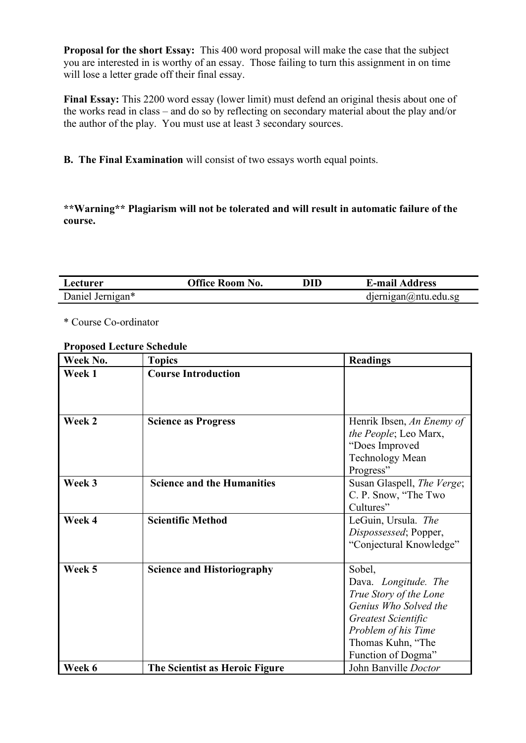**Proposal for the short Essay:** This 400 word proposal will make the case that the subject you are interested in is worthy of an essay. Those failing to turn this assignment in on time will lose a letter grade off their final essay.

**Final Essay:** This 2200 word essay (lower limit) must defend an original thesis about one of the works read in class – and do so by reflecting on secondary material about the play and/or the author of the play. You must use at least 3 secondary sources.

**B. The Final Examination** will consist of two essays worth equal points.

**\*\*Warning\*\* Plagiarism will not be tolerated and will result in automatic failure of the course.**

| Lecturer         | <b>Office Room No.</b> | DID | <b>E-mail Address</b>       |
|------------------|------------------------|-----|-----------------------------|
| Daniel Jernigan* |                        |     | $d$ jernigan $@$ ntu.edu.sg |

\* Course Co-ordinator

### **Proposed Lecture Schedule**

| Week No. | <b>Topics</b>                     | <b>Readings</b>            |
|----------|-----------------------------------|----------------------------|
| Week 1   | <b>Course Introduction</b>        |                            |
|          |                                   |                            |
|          |                                   |                            |
| Week 2   | <b>Science as Progress</b>        | Henrik Ibsen, An Enemy of  |
|          |                                   | the People; Leo Marx,      |
|          |                                   | "Does Improved             |
|          |                                   | Technology Mean            |
|          |                                   | Progress"                  |
| Week 3   | <b>Science and the Humanities</b> | Susan Glaspell, The Verge; |
|          |                                   | C. P. Snow, "The Two       |
|          |                                   | Cultures"                  |
| Week 4   | <b>Scientific Method</b>          | LeGuin, Ursula. The        |
|          |                                   | Dispossessed; Popper,      |
|          |                                   | "Conjectural Knowledge"    |
|          |                                   |                            |
| Week 5   | <b>Science and Historiography</b> | Sobel,                     |
|          |                                   | Dava. Longitude. The       |
|          |                                   | True Story of the Lone     |
|          |                                   | Genius Who Solved the      |
|          |                                   | Greatest Scientific        |
|          |                                   | Problem of his Time        |
|          |                                   | Thomas Kuhn, "The          |
|          |                                   | Function of Dogma"         |
| Week 6   | The Scientist as Heroic Figure    | John Banville Doctor       |